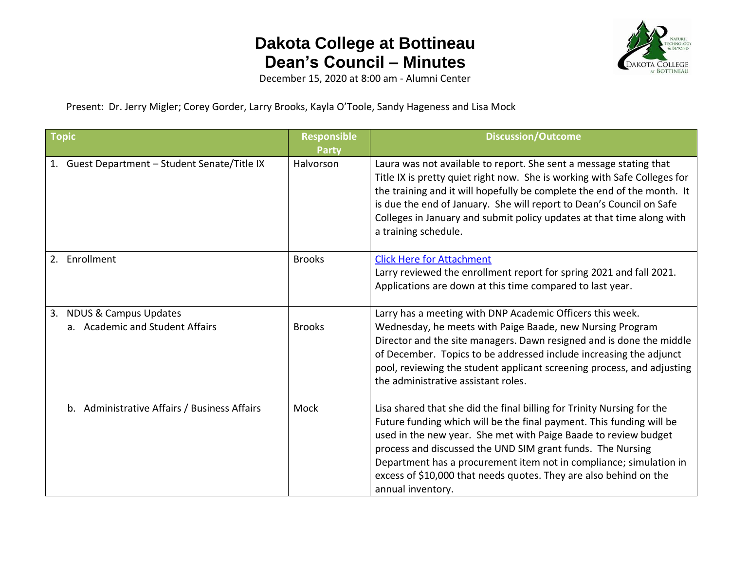

December 15, 2020 at 8:00 am - Alumni Center

Present: Dr. Jerry Migler; Corey Gorder, Larry Brooks, Kayla O'Toole, Sandy Hageness and Lisa Mock

| Topic |                                                             | <b>Responsible</b><br><b>Party</b> | <b>Discussion/Outcome</b>                                                                                                                                                                                                                                                                                                                                                                                                                       |
|-------|-------------------------------------------------------------|------------------------------------|-------------------------------------------------------------------------------------------------------------------------------------------------------------------------------------------------------------------------------------------------------------------------------------------------------------------------------------------------------------------------------------------------------------------------------------------------|
|       | 1. Guest Department - Student Senate/Title IX               | Halvorson                          | Laura was not available to report. She sent a message stating that<br>Title IX is pretty quiet right now. She is working with Safe Colleges for<br>the training and it will hopefully be complete the end of the month. It<br>is due the end of January. She will report to Dean's Council on Safe<br>Colleges in January and submit policy updates at that time along with<br>a training schedule.                                             |
|       | 2. Enrollment                                               | <b>Brooks</b>                      | <b>Click Here for Attachment</b><br>Larry reviewed the enrollment report for spring 2021 and fall 2021.<br>Applications are down at this time compared to last year.                                                                                                                                                                                                                                                                            |
|       | 3. NDUS & Campus Updates<br>a. Academic and Student Affairs | <b>Brooks</b>                      | Larry has a meeting with DNP Academic Officers this week.<br>Wednesday, he meets with Paige Baade, new Nursing Program<br>Director and the site managers. Dawn resigned and is done the middle<br>of December. Topics to be addressed include increasing the adjunct<br>pool, reviewing the student applicant screening process, and adjusting<br>the administrative assistant roles.                                                           |
|       | b. Administrative Affairs / Business Affairs                | Mock                               | Lisa shared that she did the final billing for Trinity Nursing for the<br>Future funding which will be the final payment. This funding will be<br>used in the new year. She met with Paige Baade to review budget<br>process and discussed the UND SIM grant funds. The Nursing<br>Department has a procurement item not in compliance; simulation in<br>excess of \$10,000 that needs quotes. They are also behind on the<br>annual inventory. |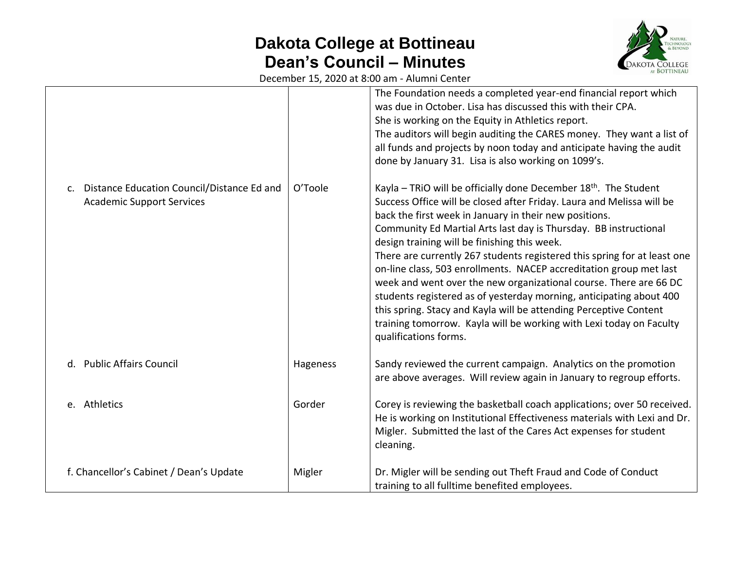

December 15, 2020 at 8:00 am - Alumni Center

|                                                                                                  |          | The Foundation needs a completed year-end financial report which<br>was due in October. Lisa has discussed this with their CPA.<br>She is working on the Equity in Athletics report.<br>The auditors will begin auditing the CARES money. They want a list of<br>all funds and projects by noon today and anticipate having the audit<br>done by January 31. Lisa is also working on 1099's.                                                                                                                                                                                                                                                                                                                                                                                                           |
|--------------------------------------------------------------------------------------------------|----------|--------------------------------------------------------------------------------------------------------------------------------------------------------------------------------------------------------------------------------------------------------------------------------------------------------------------------------------------------------------------------------------------------------------------------------------------------------------------------------------------------------------------------------------------------------------------------------------------------------------------------------------------------------------------------------------------------------------------------------------------------------------------------------------------------------|
| Distance Education Council/Distance Ed and<br>$\mathsf{C}$ .<br><b>Academic Support Services</b> | O'Toole  | Kayla - TRiO will be officially done December 18 <sup>th</sup> . The Student<br>Success Office will be closed after Friday. Laura and Melissa will be<br>back the first week in January in their new positions.<br>Community Ed Martial Arts last day is Thursday. BB instructional<br>design training will be finishing this week.<br>There are currently 267 students registered this spring for at least one<br>on-line class, 503 enrollments. NACEP accreditation group met last<br>week and went over the new organizational course. There are 66 DC<br>students registered as of yesterday morning, anticipating about 400<br>this spring. Stacy and Kayla will be attending Perceptive Content<br>training tomorrow. Kayla will be working with Lexi today on Faculty<br>qualifications forms. |
| d. Public Affairs Council                                                                        | Hageness | Sandy reviewed the current campaign. Analytics on the promotion<br>are above averages. Will review again in January to regroup efforts.                                                                                                                                                                                                                                                                                                                                                                                                                                                                                                                                                                                                                                                                |
| e. Athletics                                                                                     | Gorder   | Corey is reviewing the basketball coach applications; over 50 received.<br>He is working on Institutional Effectiveness materials with Lexi and Dr.<br>Migler. Submitted the last of the Cares Act expenses for student<br>cleaning.                                                                                                                                                                                                                                                                                                                                                                                                                                                                                                                                                                   |
| f. Chancellor's Cabinet / Dean's Update                                                          | Migler   | Dr. Migler will be sending out Theft Fraud and Code of Conduct<br>training to all fulltime benefited employees.                                                                                                                                                                                                                                                                                                                                                                                                                                                                                                                                                                                                                                                                                        |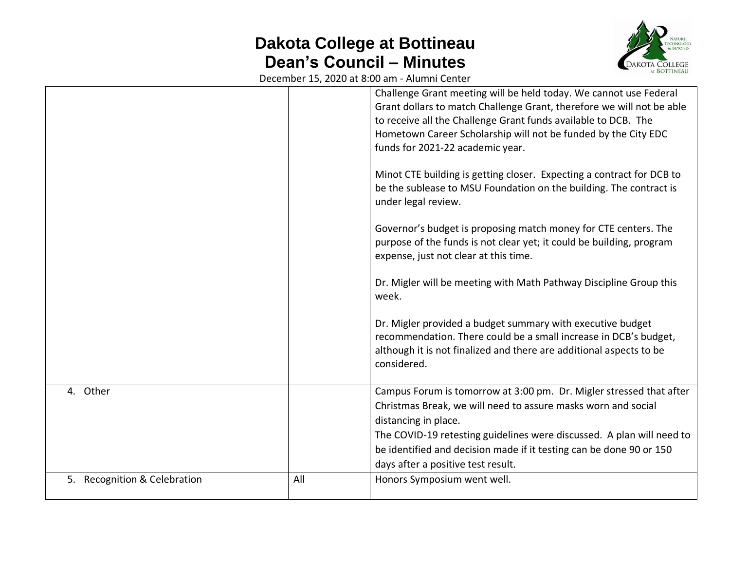

December 15, 2020 at 8:00 am - Alumni Center

|                              |     | Challenge Grant meeting will be held today. We cannot use Federal<br>Grant dollars to match Challenge Grant, therefore we will not be able<br>to receive all the Challenge Grant funds available to DCB. The<br>Hometown Career Scholarship will not be funded by the City EDC<br>funds for 2021-22 academic year. |
|------------------------------|-----|--------------------------------------------------------------------------------------------------------------------------------------------------------------------------------------------------------------------------------------------------------------------------------------------------------------------|
|                              |     | Minot CTE building is getting closer. Expecting a contract for DCB to<br>be the sublease to MSU Foundation on the building. The contract is<br>under legal review.                                                                                                                                                 |
|                              |     | Governor's budget is proposing match money for CTE centers. The<br>purpose of the funds is not clear yet; it could be building, program<br>expense, just not clear at this time.                                                                                                                                   |
|                              |     | Dr. Migler will be meeting with Math Pathway Discipline Group this<br>week.                                                                                                                                                                                                                                        |
|                              |     | Dr. Migler provided a budget summary with executive budget<br>recommendation. There could be a small increase in DCB's budget,<br>although it is not finalized and there are additional aspects to be<br>considered.                                                                                               |
| 4. Other                     |     | Campus Forum is tomorrow at 3:00 pm. Dr. Migler stressed that after<br>Christmas Break, we will need to assure masks worn and social<br>distancing in place.                                                                                                                                                       |
|                              |     | The COVID-19 retesting guidelines were discussed. A plan will need to<br>be identified and decision made if it testing can be done 90 or 150<br>days after a positive test result.                                                                                                                                 |
| 5. Recognition & Celebration | All | Honors Symposium went well.                                                                                                                                                                                                                                                                                        |